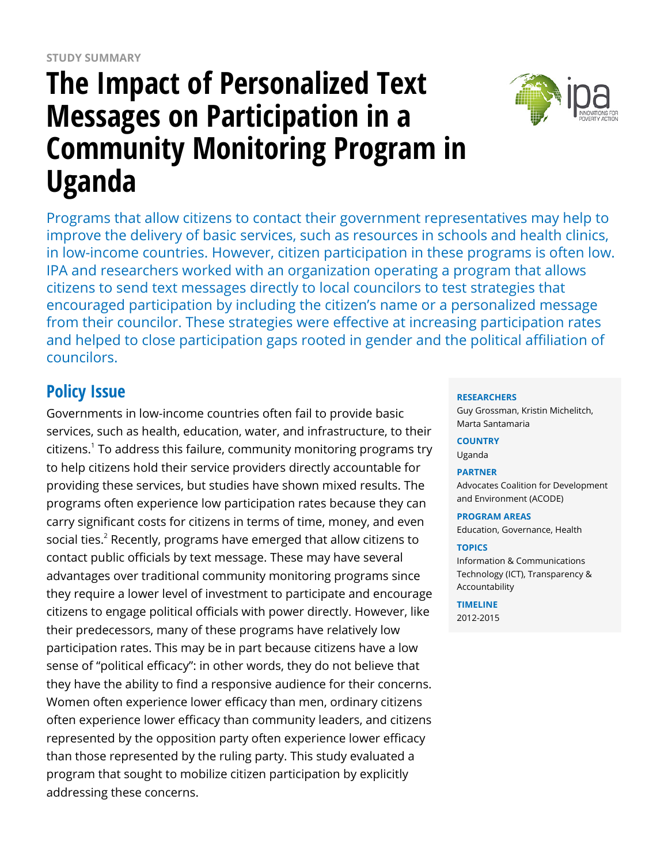# **The Impact of Personalized Text Messages on Participation in a Community Monitoring Program in Uganda**



Programs that allow citizens to contact their government representatives may help to improve the delivery of basic services, such as resources in schools and health clinics, in low-income countries. However, citizen participation in these programs is often low. IPA and researchers worked with an organization operating a program that allows citizens to send text messages directly to local councilors to test strategies that encouraged participation by including the citizen's name or a personalized message from their councilor. These strategies were effective at increasing participation rates and helped to close participation gaps rooted in gender and the political affiliation of councilors.

## **Policy Issue**

Governments in low-income countries often fail to provide basic services, such as health, education, water, and infrastructure, to their citizens. $^1$  To address this failure, community monitoring programs try to help citizens hold their service providers directly accountable for providing these services, but studies have shown mixed results. The programs often experience low participation rates because they can carry significant costs for citizens in terms of time, money, and even social ties. $^2$  Recently, programs have emerged that allow citizens to contact public officials by text message. These may have several advantages over traditional community monitoring programs since they require a lower level of investment to participate and encourage citizens to engage political officials with power directly. However, like their predecessors, many of these programs have relatively low participation rates. This may be in part because citizens have a low sense of "political efficacy": in other words, they do not believe that they have the ability to find a responsive audience for their concerns. Women often experience lower efficacy than men, ordinary citizens often experience lower efficacy than community leaders, and citizens represented by the opposition party often experience lower efficacy than those represented by the ruling party. This study evaluated a program that sought to mobilize citizen participation by explicitly addressing these concerns.

### **RESEARCHERS**

Guy Grossman, Kristin Michelitch, Marta Santamaria

**COUNTRY**

Uganda

#### **PARTNER**

Advocates Coalition for Development and Environment (ACODE)

**PROGRAM AREAS**

Education, Governance, Health

#### **TOPICS**

Information & Communications Technology (ICT), Transparency & Accountability

#### **TIMELINE**

2012-2015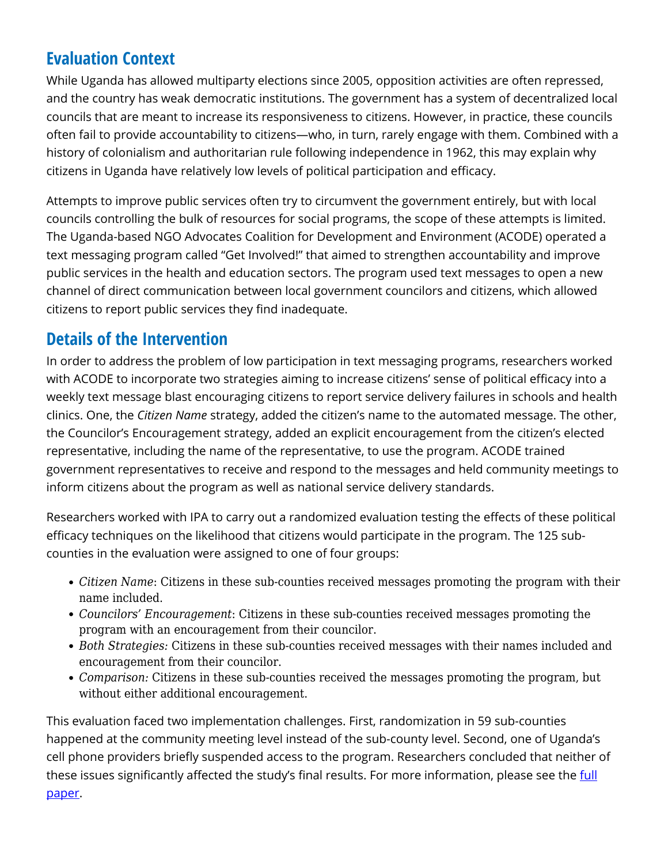## **Evaluation Context**

While Uganda has allowed multiparty elections since 2005, opposition activities are often repressed, and the country has weak democratic institutions. The government has a system of decentralized local councils that are meant to increase its responsiveness to citizens. However, in practice, these councils often fail to provide accountability to citizens—who, in turn, rarely engage with them. Combined with a history of colonialism and authoritarian rule following independence in 1962, this may explain why citizens in Uganda have relatively low levels of political participation and efficacy.

Attempts to improve public services often try to circumvent the government entirely, but with local councils controlling the bulk of resources for social programs, the scope of these attempts is limited. The Uganda-based NGO Advocates Coalition for Development and Environment (ACODE) operated a text messaging program called "Get Involved!" that aimed to strengthen accountability and improve public services in the health and education sectors. The program used text messages to open a new channel of direct communication between local government councilors and citizens, which allowed citizens to report public services they find inadequate.

### **Details of the Intervention**

In order to address the problem of low participation in text messaging programs, researchers worked with ACODE to incorporate two strategies aiming to increase citizens' sense of political efficacy into a weekly text message blast encouraging citizens to report service delivery failures in schools and health clinics. One, the *Citizen Name* strategy, added the citizen's name to the automated message. The other, the Councilor's Encouragement strategy, added an explicit encouragement from the citizen's elected representative, including the name of the representative, to use the program. ACODE trained government representatives to receive and respond to the messages and held community meetings to inform citizens about the program as well as national service delivery standards.

Researchers worked with IPA to carry out a randomized evaluation testing the effects of these political efficacy techniques on the likelihood that citizens would participate in the program. The 125 subcounties in the evaluation were assigned to one of four groups:

- *Citizen Name*: Citizens in these sub-counties received messages promoting the program with their name included.
- *Councilors' Encouragement*: Citizens in these sub-counties received messages promoting the program with an encouragement from their councilor.
- *Both Strategies:* Citizens in these sub-counties received messages with their names included and encouragement from their councilor.
- *Comparison:* Citizens in these sub-counties received the messages promoting the program, but without either additional encouragement.

This evaluation faced two implementation challenges. First, randomization in 59 sub-counties happened at the community meeting level instead of the sub-county level. Second, one of Uganda's cell phone providers briefly suspended access to the program. Researchers concluded that neither of these issues significantly affected the study's final results. For more information, please see the [full](https://www.poverty-action.org/publication/texting-complaints-politicians-name-personalization-and-politicians%E2%80%99-encouragement) [paper.](https://www.poverty-action.org/publication/texting-complaints-politicians-name-personalization-and-politicians%E2%80%99-encouragement)